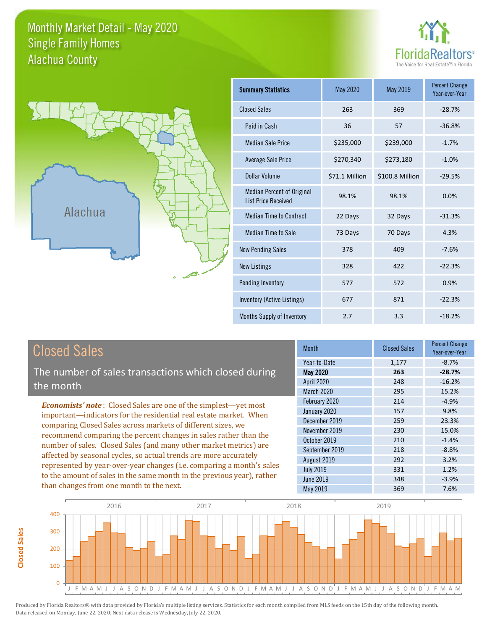### Monthly Market Detail - May 2020 Alachua County Single Family Homes





**Closed Sales**

**Closed Sales** 

| <b>Summary Statistics</b>                                       | May 2020       | May 2019        | <b>Percent Change</b><br>Year-over-Year |
|-----------------------------------------------------------------|----------------|-----------------|-----------------------------------------|
| <b>Closed Sales</b>                                             | 263            | 369             | $-28.7%$                                |
| Paid in Cash                                                    | 36             | 57              | $-36.8%$                                |
| <b>Median Sale Price</b>                                        | \$235,000      | \$239,000       | $-1.7%$                                 |
| Average Sale Price                                              | \$270,340      | \$273,180       | $-1.0%$                                 |
| Dollar Volume                                                   | \$71.1 Million | \$100.8 Million | $-29.5%$                                |
| <b>Median Percent of Original</b><br><b>List Price Received</b> | 98.1%          | 98.1%           | 0.0%                                    |
| <b>Median Time to Contract</b>                                  | 22 Days        | 32 Days         | $-31.3%$                                |
| Median Time to Sale                                             | 73 Days        | 70 Days         | 4.3%                                    |
| <b>New Pending Sales</b>                                        | 378            | 409             | $-7.6%$                                 |
| <b>New Listings</b>                                             | 328            | 422             | $-22.3%$                                |
| Pending Inventory                                               | 577            | 572             | 0.9%                                    |
| Inventory (Active Listings)                                     | 677            | 871             | $-22.3%$                                |
| Months Supply of Inventory                                      | 2.7            | 3.3             | $-18.2%$                                |

| <b>Closed Sales</b>                                                                                                                                                                                   | <b>Month</b>      | <b>Closed Sales</b> | <b>Percent Change</b><br>Year-over-Year |
|-------------------------------------------------------------------------------------------------------------------------------------------------------------------------------------------------------|-------------------|---------------------|-----------------------------------------|
|                                                                                                                                                                                                       | Year-to-Date      | 1,177               | $-8.7%$                                 |
| The number of sales transactions which closed during                                                                                                                                                  | May 2020          | 263                 | $-28.7%$                                |
| the month                                                                                                                                                                                             | <b>April 2020</b> | 248                 | $-16.2%$                                |
|                                                                                                                                                                                                       | <b>March 2020</b> | 295                 | 15.2%                                   |
| <b>Economists' note:</b> Closed Sales are one of the simplest—yet most                                                                                                                                | February 2020     | 214                 | $-4.9%$                                 |
| important—indicators for the residential real estate market. When                                                                                                                                     | January 2020      | 157                 | 9.8%                                    |
| comparing Closed Sales across markets of different sizes, we<br>recommend comparing the percent changes in sales rather than the<br>number of sales. Closed Sales (and many other market metrics) are | December 2019     | 259                 | 23.3%                                   |
|                                                                                                                                                                                                       | November 2019     | 230                 | 15.0%                                   |
|                                                                                                                                                                                                       | October 2019      | 210                 | $-1.4%$                                 |
|                                                                                                                                                                                                       | September 2019    | 218                 | $-8.8%$                                 |
| affected by seasonal cycles, so actual trends are more accurately                                                                                                                                     | August 2019       | 292                 | 3.2%                                    |
| represented by year-over-year changes (i.e. comparing a month's sales                                                                                                                                 | <b>July 2019</b>  | 331                 | 1.2%                                    |
| to the amount of sales in the same month in the previous year), rather                                                                                                                                | June 2019         | 348                 | $-3.9%$                                 |
| than changes from one month to the next.                                                                                                                                                              | May 2019          | 369                 | 7.6%                                    |

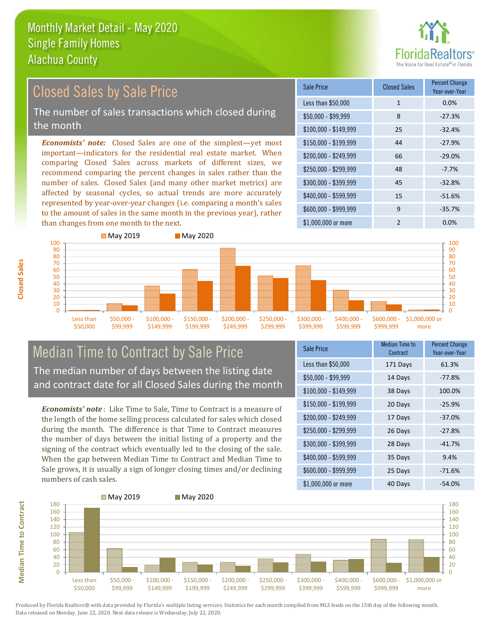

### $$100,000 - $149,999$  25 -32.4% Sale Price Closed Sales Percent Change Year-over-Year Less than \$50,000 1 1 0.0%  $$50,000 - $99,999$  8 -27.3%  $$150,000 - $199,999$  44 -27.9%  $$200.000 - $249.999$  66 -29.0% \$400,000 - \$599,999 15 -51.6% \$600,000 - \$999,999 9 -35.7% *Economists' note:* Closed Sales are one of the simplest—yet most important—indicators for the residential real estate market. When comparing Closed Sales across markets of different sizes, we recommend comparing the percent changes in sales rather than the number of sales. Closed Sales (and many other market metrics) are affected by seasonal cycles, so actual trends are more accurately represented by year-over-year changes (i.e. comparing a month's sales to the amount of sales in the same month in the previous year), rather  $$250,000 - $299,999$  48 -7.7% \$300,000 - \$399,999 45 -32.8% Closed Sales by Sale Price The number of sales transactions which closed during the month



## Median Time to Contract by Sale Price The median number of days between the listing date and contract date for all Closed Sales during the month

*Economists' note* : Like Time to Sale, Time to Contract is a measure of the length of the home selling process calculated for sales which closed during the month. The difference is that Time to Contract measures the number of days between the initial listing of a property and the signing of the contract which eventually led to the closing of the sale. When the gap between Median Time to Contract and Median Time to Sale grows, it is usually a sign of longer closing times and/or declining numbers of cash sales.

| Sale Price            | Median Time to<br>Contract | <b>Percent Change</b><br>Year-over-Year |
|-----------------------|----------------------------|-----------------------------------------|
| Less than \$50,000    | 171 Days                   | 61.3%                                   |
| $$50,000 - $99,999$   | 14 Days                    | $-77.8%$                                |
| $$100,000 - $149,999$ | 38 Days                    | 100.0%                                  |
| \$150,000 - \$199,999 | 20 Days                    | $-25.9%$                                |
| \$200,000 - \$249,999 | 17 Days                    | $-37.0%$                                |
| \$250,000 - \$299,999 | 26 Days                    | $-27.8%$                                |
| \$300,000 - \$399,999 | 28 Days                    | $-41.7%$                                |
| \$400,000 - \$599,999 | 35 Days                    | 9.4%                                    |
| \$600,000 - \$999,999 | 25 Days                    | $-71.6%$                                |
| \$1,000,000 or more   | 40 Days                    | $-54.0%$                                |



**Median Time to Contract**

**Median Time to Contract** 

**Closed Sales**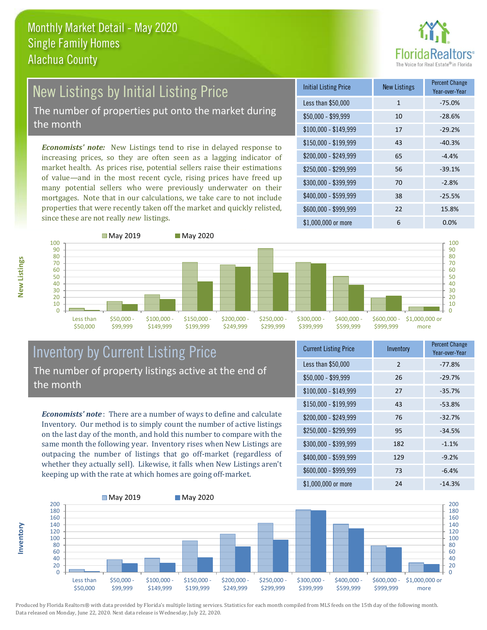

# New Listings by Initial Listing Price The number of properties put onto the market during

the month

*Economists' note:* New Listings tend to rise in delayed response to increasing prices, so they are often seen as a lagging indicator of market health. As prices rise, potential sellers raise their estimations of value—and in the most recent cycle, rising prices have freed up many potential sellers who were previously underwater on their mortgages. Note that in our calculations, we take care to not include properties that were recently taken off the market and quickly relisted, since these are not really *new* listings.

| <b>Initial Listing Price</b> | <b>New Listings</b> | <b>Percent Change</b><br>Year-over-Year |
|------------------------------|---------------------|-----------------------------------------|
| Less than \$50,000           | $\mathbf{1}$        | $-75.0%$                                |
| $$50,000 - $99,999$          | 10                  | $-28.6%$                                |
| $$100,000 - $149,999$        | 17                  | $-29.2%$                                |
| $$150,000 - $199,999$        | 43                  | $-40.3%$                                |
| \$200,000 - \$249,999        | 65                  | $-4.4%$                                 |
| \$250,000 - \$299,999        | 56                  | $-39.1%$                                |
| \$300,000 - \$399,999        | 70                  | $-2.8%$                                 |
| \$400,000 - \$599,999        | 38                  | $-25.5%$                                |
| \$600,000 - \$999,999        | 22                  | 15.8%                                   |
| \$1,000,000 or more          | 6                   | 0.0%                                    |





### Inventory by Current Listing Price The number of property listings active at the end of the month

*Economists' note* : There are a number of ways to define and calculate Inventory. Our method is to simply count the number of active listings on the last day of the month, and hold this number to compare with the same month the following year. Inventory rises when New Listings are outpacing the number of listings that go off-market (regardless of whether they actually sell). Likewise, it falls when New Listings aren't keeping up with the rate at which homes are going off-market.

| <b>Current Listing Price</b> | Inventory     | <b>Percent Change</b><br>Year-over-Year |
|------------------------------|---------------|-----------------------------------------|
| Less than \$50,000           | $\mathcal{P}$ | $-77.8%$                                |
| $$50,000 - $99,999$          | 26            | $-29.7%$                                |
| $$100,000 - $149,999$        | 27            | $-35.7%$                                |
| \$150,000 - \$199,999        | 43            | $-53.8%$                                |
| \$200,000 - \$249,999        | 76            | $-32.7%$                                |
| \$250,000 - \$299,999        | 95            | $-34.5%$                                |
| \$300,000 - \$399,999        | 182           | $-1.1%$                                 |
| \$400,000 - \$599,999        | 129           | $-9.2%$                                 |
| \$600,000 - \$999,999        | 73            | $-6.4%$                                 |
| \$1,000,000 or more          | 24            | $-14.3%$                                |



Produced by Florida Realtors® with data provided by Florida's multiple listing services. Statistics for each month compiled from MLS feeds on the 15th day of the following month. Data released on Monday, June 22, 2020. Next data release is Wednesday, July 22, 2020.

**Inventory**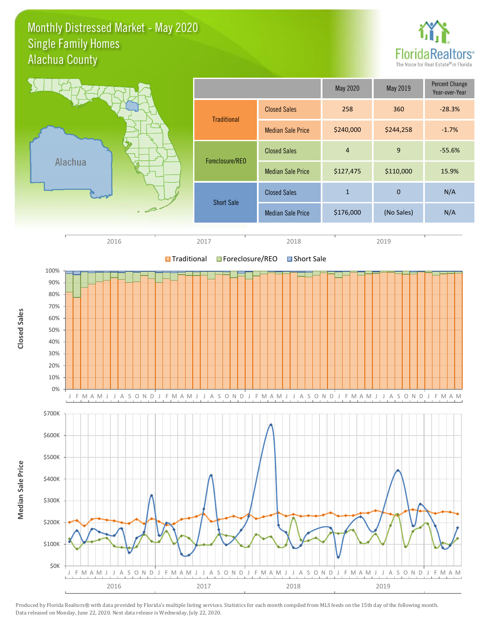### Monthly Distressed Market - May 2020 Alachua County Single Family Homes



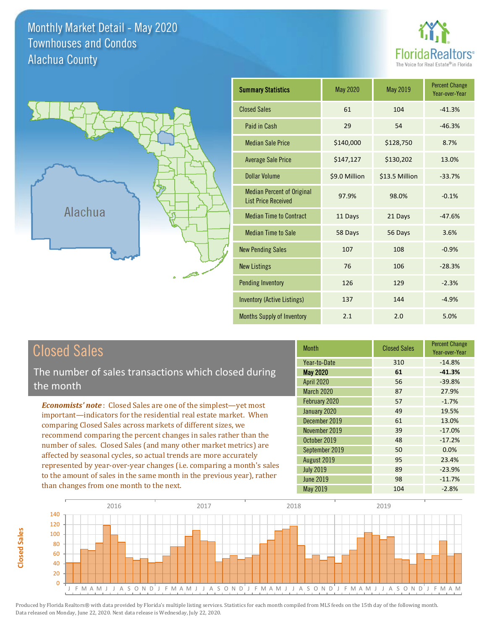Monthly Market Detail - May 2020 Alachua County Townhouses and Condos





| <b>Summary Statistics</b>                                       | May 2020      | <b>May 2019</b> | <b>Percent Change</b><br>Year-over-Year |
|-----------------------------------------------------------------|---------------|-----------------|-----------------------------------------|
| <b>Closed Sales</b>                                             | 61            | 104             | $-41.3%$                                |
| Paid in Cash                                                    | 29            | 54              | $-46.3%$                                |
| <b>Median Sale Price</b>                                        | \$140,000     | \$128,750       | 8.7%                                    |
| <b>Average Sale Price</b>                                       | \$147,127     | \$130,202       | 13.0%                                   |
| <b>Dollar Volume</b>                                            | \$9.0 Million | \$13.5 Million  | $-33.7%$                                |
| <b>Median Percent of Original</b><br><b>List Price Received</b> | 97.9%         | 98.0%           | $-0.1%$                                 |
| <b>Median Time to Contract</b>                                  | 11 Days       | 21 Days         | $-47.6%$                                |
| <b>Median Time to Sale</b>                                      | 58 Days       | 56 Days         | 3.6%                                    |
| <b>New Pending Sales</b>                                        | 107           | 108             | $-0.9%$                                 |
| <b>New Listings</b>                                             | 76            | 106             | $-28.3%$                                |
| <b>Pending Inventory</b>                                        | 126           | 129             | $-2.3%$                                 |
| Inventory (Active Listings)                                     | 137           | 144             | $-4.9%$                                 |
| Months Supply of Inventory                                      | 2.1           | 2.0             | 5.0%                                    |

The number of sales transactions which closed during the month

*Economists' note* : Closed Sales are one of the simplest—yet most important—indicators for the residential real estate market. When comparing Closed Sales across markets of different sizes, we recommend comparing the percent changes in sales rather than the number of sales. Closed Sales (and many other market metrics) are affected by seasonal cycles, so actual trends are more accurately represented by year-over-year changes (i.e. comparing a month's sales to the amount of sales in the same month in the previous year), rather than changes from one month to the next.

| <b>Month</b>      | <b>Closed Sales</b> | <b>Percent Change</b><br>Year-over-Year |
|-------------------|---------------------|-----------------------------------------|
| Year-to-Date      | 310                 | $-14.8%$                                |
| <b>May 2020</b>   | 61                  | $-41.3%$                                |
| <b>April 2020</b> | 56                  | $-39.8%$                                |
| <b>March 2020</b> | 87                  | 27.9%                                   |
| February 2020     | 57                  | $-1.7%$                                 |
| January 2020      | 49                  | 19.5%                                   |
| December 2019     | 61                  | 13.0%                                   |
| November 2019     | 39                  | $-17.0%$                                |
| October 2019      | 48                  | $-17.2%$                                |
| September 2019    | 50                  | 0.0%                                    |
| August 2019       | 95                  | 23.4%                                   |
| <b>July 2019</b>  | 89                  | $-23.9%$                                |
| <b>June 2019</b>  | 98                  | $-11.7%$                                |
| May 2019          | 104                 | $-2.8%$                                 |



**Closed Sales**

**Closed Sales**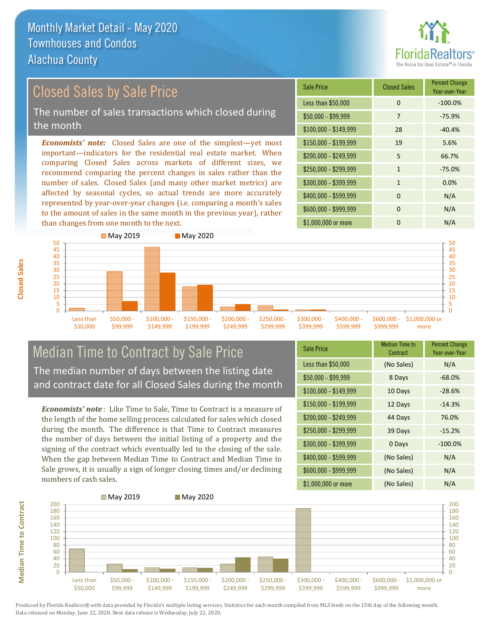

## Closed Sales by Sale Price

The number of sales transactions which closed during the month

*Economists' note:* Closed Sales are one of the simplest—yet most important—indicators for the residential real estate market. When comparing Closed Sales across markets of different sizes, we recommend comparing the percent changes in sales rather than the number of sales. Closed Sales (and many other market metrics) are affected by seasonal cycles, so actual trends are more accurately represented by year-over-year changes (i.e. comparing a month's sales to the amount of sales in the same month in the previous year), rather than changes from one month to the next.

| Sale Price            | <b>Closed Sales</b> | <b>Percent Change</b><br>Year-over-Year |
|-----------------------|---------------------|-----------------------------------------|
| Less than \$50,000    | 0                   | $-100.0%$                               |
| \$50,000 - \$99,999   | 7                   | $-75.9%$                                |
| \$100,000 - \$149,999 | 28                  | $-40.4%$                                |
| $$150,000 - $199,999$ | 19                  | 5.6%                                    |
| \$200,000 - \$249,999 | 5                   | 66.7%                                   |
| \$250,000 - \$299,999 | $\mathbf{1}$        | $-75.0%$                                |
| \$300,000 - \$399,999 | $\mathbf{1}$        | 0.0%                                    |
| \$400,000 - \$599,999 | $\Omega$            | N/A                                     |
| \$600,000 - \$999,999 | 0                   | N/A                                     |
| \$1,000,000 or more   | 0                   | N/A                                     |



### Median Time to Contract by Sale Price The median number of days between the listing date and contract date for all Closed Sales during the month

*Economists' note* : Like Time to Sale, Time to Contract is a measure of the length of the home selling process calculated for sales which closed during the month. The difference is that Time to Contract measures the number of days between the initial listing of a property and the signing of the contract which eventually led to the closing of the sale. When the gap between Median Time to Contract and Median Time to Sale grows, it is usually a sign of longer closing times and/or declining numbers of cash sales.

| <b>Sale Price</b>     | Median Time to<br>Contract | <b>Percent Change</b><br>Year-over-Year |
|-----------------------|----------------------------|-----------------------------------------|
| Less than \$50,000    | (No Sales)                 | N/A                                     |
| $$50,000 - $99,999$   | 8 Days                     | $-68.0%$                                |
| $$100,000 - $149,999$ | 10 Days                    | $-28.6%$                                |
| $$150,000 - $199,999$ | 12 Days                    | $-14.3%$                                |
| $$200,000 - $249,999$ | 44 Days                    | 76.0%                                   |
| \$250,000 - \$299,999 | 39 Days                    | $-15.2%$                                |
| \$300,000 - \$399,999 | 0 Days                     | $-100.0%$                               |
| \$400,000 - \$599,999 | (No Sales)                 | N/A                                     |
| \$600,000 - \$999,999 | (No Sales)                 | N/A                                     |
| \$1,000,000 or more   | (No Sales)                 | N/A                                     |

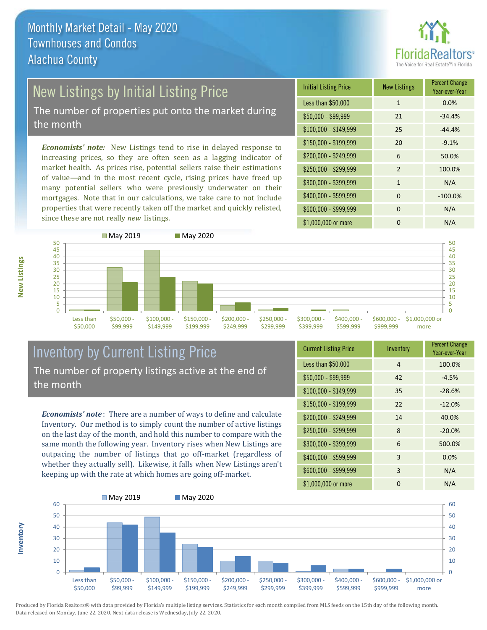

# New Listings by Initial Listing Price

The number of properties put onto the market during the month

*Economists' note:* New Listings tend to rise in delayed response to increasing prices, so they are often seen as a lagging indicator of market health. As prices rise, potential sellers raise their estimations of value—and in the most recent cycle, rising prices have freed up many potential sellers who were previously underwater on their mortgages. Note that in our calculations, we take care to not include properties that were recently taken off the market and quickly relisted, since these are not really *new* listings.

| <b>Initial Listing Price</b> | <b>New Listings</b> | <b>Percent Change</b><br>Year-over-Year |
|------------------------------|---------------------|-----------------------------------------|
| Less than \$50,000           | $\mathbf{1}$        | 0.0%                                    |
| $$50,000 - $99,999$          | 21                  | $-34.4%$                                |
| $$100,000 - $149,999$        | 25                  | $-44.4%$                                |
| \$150,000 - \$199,999        | 20                  | $-9.1%$                                 |
| \$200,000 - \$249,999        | 6                   | 50.0%                                   |
| \$250,000 - \$299,999        | 2                   | 100.0%                                  |
| \$300,000 - \$399,999        | $\mathbf{1}$        | N/A                                     |
| \$400,000 - \$599,999        | $\Omega$            | $-100.0%$                               |
| \$600,000 - \$999,999        | $\Omega$            | N/A                                     |
| \$1,000,000 or more          | O                   | N/A                                     |



### Inventory by Current Listing Price The number of property listings active at the end of the month

*Economists' note* : There are a number of ways to define and calculate Inventory. Our method is to simply count the number of active listings on the last day of the month, and hold this number to compare with the same month the following year. Inventory rises when New Listings are outpacing the number of listings that go off-market (regardless of whether they actually sell). Likewise, it falls when New Listings aren't keeping up with the rate at which homes are going off-market.

| <b>Current Listing Price</b> | Inventory      | <b>Percent Change</b><br>Year-over-Year |
|------------------------------|----------------|-----------------------------------------|
| Less than \$50,000           | $\overline{4}$ | 100.0%                                  |
| $$50,000 - $99,999$          | 42             | $-4.5%$                                 |
| $$100,000 - $149,999$        | 35             | $-28.6%$                                |
| $$150,000 - $199,999$        | 22             | $-12.0%$                                |
| \$200,000 - \$249,999        | 14             | 40.0%                                   |
| \$250,000 - \$299,999        | 8              | $-20.0%$                                |
| \$300,000 - \$399,999        | 6              | 500.0%                                  |
| \$400,000 - \$599,999        | 3              | 0.0%                                    |
| \$600,000 - \$999,999        | 3              | N/A                                     |
| \$1,000,000 or more          | 0              | N/A                                     |



Produced by Florida Realtors® with data provided by Florida's multiple listing services. Statistics for each month compiled from MLS feeds on the 15th day of the following month. Data released on Monday, June 22, 2020. Next data release is Wednesday, July 22, 2020.

**Inventory**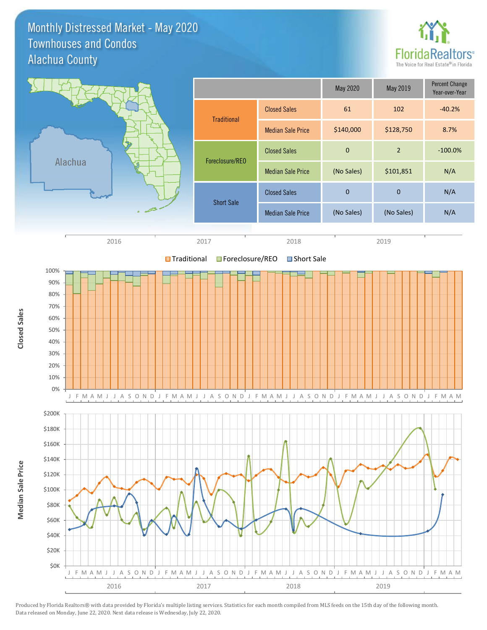Monthly Distressed Market - May 2020 Alachua County Townhouses and Condos



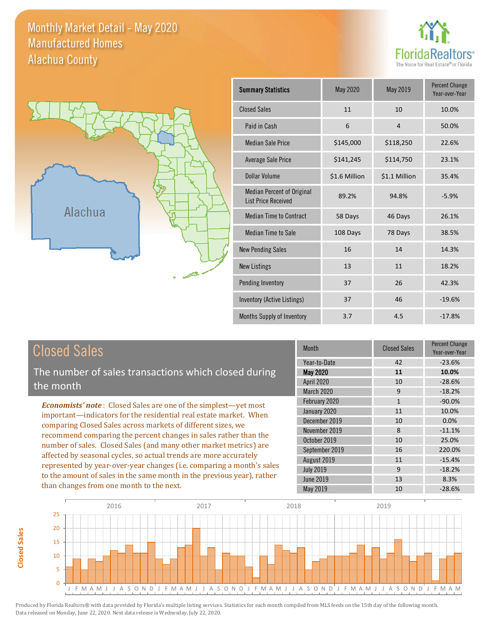Monthly Market Detail - May 2020 Alachua County Manufactured Homes





**Closed Sales**

**Closed Sales** 

| <b>Summary Statistics</b>                                       | May 2020      | May 2019       | <b>Percent Change</b><br>Year-over-Year |
|-----------------------------------------------------------------|---------------|----------------|-----------------------------------------|
| <b>Closed Sales</b>                                             | 11            | 10             | 10.0%                                   |
| Paid in Cash                                                    | 6             | $\overline{4}$ | 50.0%                                   |
| <b>Median Sale Price</b>                                        | \$145,000     | \$118,250      | 22.6%                                   |
| <b>Average Sale Price</b>                                       | \$141,245     | \$114,750      | 23.1%                                   |
| <b>Dollar Volume</b>                                            | \$1.6 Million | \$1.1 Million  | 35.4%                                   |
| <b>Median Percent of Original</b><br><b>List Price Received</b> | 89.2%         | 94.8%          | $-5.9%$                                 |
| <b>Median Time to Contract</b>                                  | 58 Days       | 46 Days        | 26.1%                                   |
| <b>Median Time to Sale</b>                                      | 108 Days      | 78 Days        | 38.5%                                   |
| <b>New Pending Sales</b>                                        | 16            | 14             | 14.3%                                   |
| <b>New Listings</b>                                             | 13            | 11             | 18.2%                                   |
| Pending Inventory                                               | 37            | 26             | 42.3%                                   |
| Inventory (Active Listings)                                     | 37            | 46             | $-19.6%$                                |
| Months Supply of Inventory                                      | 3.7           | 4.5            | $-17.8%$                                |

| <b>Closed Sales</b>                                                    | <b>Month</b>      | <b>Closed Sales</b> | <b>Percent Change</b><br>Year-over-Year |
|------------------------------------------------------------------------|-------------------|---------------------|-----------------------------------------|
|                                                                        | Year-to-Date      | 42                  | $-23.6%$                                |
| The number of sales transactions which closed during                   | May 2020          | 11                  | 10.0%                                   |
| the month                                                              | <b>April 2020</b> | 10                  | $-28.6%$                                |
|                                                                        | March 2020        | 9                   | $-18.2%$                                |
| <b>Economists' note:</b> Closed Sales are one of the simplest—yet most | February 2020     | $\mathbf{1}$        | $-90.0%$                                |
| important—indicators for the residential real estate market. When      | January 2020      | 11                  | 10.0%                                   |
| comparing Closed Sales across markets of different sizes, we           | December 2019     | 10                  | $0.0\%$                                 |
| recommend comparing the percent changes in sales rather than the       | November 2019     | 8                   | $-11.1%$                                |
|                                                                        | October 2019      | 10                  | 25.0%                                   |
| number of sales. Closed Sales (and many other market metrics) are      | September 2019    | 16                  | 220.0%                                  |
| affected by seasonal cycles, so actual trends are more accurately      | August 2019       | 11                  | $-15.4%$                                |
| represented by year-over-year changes (i.e. comparing a month's sales  | <b>July 2019</b>  | 9                   | $-18.2%$                                |
| to the amount of sales in the same month in the previous year), rather | June 2019         | 13                  | 8.3%                                    |
| than changes from one month to the next.                               | May 2019          | 10                  | $-28.6%$                                |

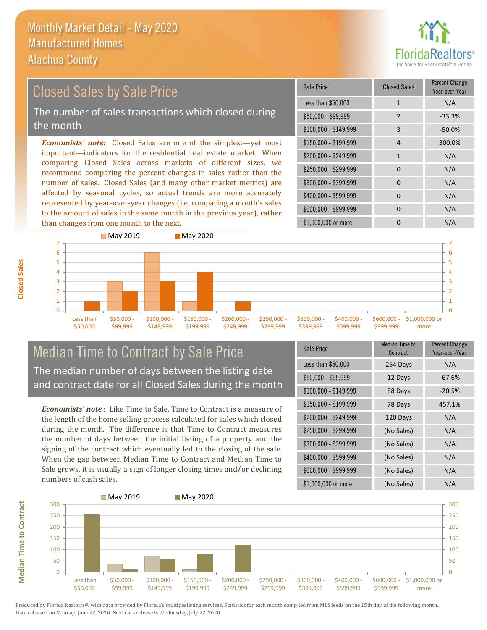than changes from one month to the next.



### \$100,000 - \$149,999 3 -50.0% Sale Price Closed Sales Percent Change Year-over-Year Less than  $$50,000$  1 N/A  $$50.000 - $99.999$  2 -33.3% \$150,000 - \$199,999 4 300.0%  $$200,000 - $249,999$  1 N/A  $$400,000 - $599,999$  0 N/A \$600,000 - \$999,999 0 0 N/A *Economists' note:* Closed Sales are one of the simplest—yet most important—indicators for the residential real estate market. When comparing Closed Sales across markets of different sizes, we recommend comparing the percent changes in sales rather than the number of sales. Closed Sales (and many other market metrics) are affected by seasonal cycles, so actual trends are more accurately represented by year-over-year changes (i.e. comparing a month's sales to the amount of sales in the same month in the previous year), rather \$250,000 - \$299,999 0 0 N/A \$300,000 - \$399,999 0 0 N/A Closed Sales by Sale Price The number of sales transactions which closed during the month



### Median Time to Contract by Sale Price The median number of days between the listing date and contract date for all Closed Sales during the month

*Economists' note* : Like Time to Sale, Time to Contract is a measure of the length of the home selling process calculated for sales which closed during the month. The difference is that Time to Contract measures the number of days between the initial listing of a property and the signing of the contract which eventually led to the closing of the sale. When the gap between Median Time to Contract and Median Time to Sale grows, it is usually a sign of longer closing times and/or declining numbers of cash sales.

| Sale Price            | <b>Median Time to</b><br>Contract | <b>Percent Change</b><br>Year-over-Year |
|-----------------------|-----------------------------------|-----------------------------------------|
| Less than \$50,000    | 254 Days                          | N/A                                     |
| $$50,000 - $99,999$   | 12 Days                           | $-67.6%$                                |
| $$100,000 - $149,999$ | 58 Days                           | $-20.5%$                                |
| $$150,000 - $199,999$ | 78 Days                           | 457.1%                                  |
| \$200,000 - \$249,999 | 120 Days                          | N/A                                     |
| \$250,000 - \$299,999 | (No Sales)                        | N/A                                     |
| \$300,000 - \$399,999 | (No Sales)                        | N/A                                     |
| \$400,000 - \$599,999 | (No Sales)                        | N/A                                     |
| \$600,000 - \$999,999 | (No Sales)                        | N/A                                     |
| \$1,000,000 or more   | (No Sales)                        | N/A                                     |

\$1,000,000 or more 0 0 N/A



**Closed Sales**

**Median Time to Contract Median Time to Contract**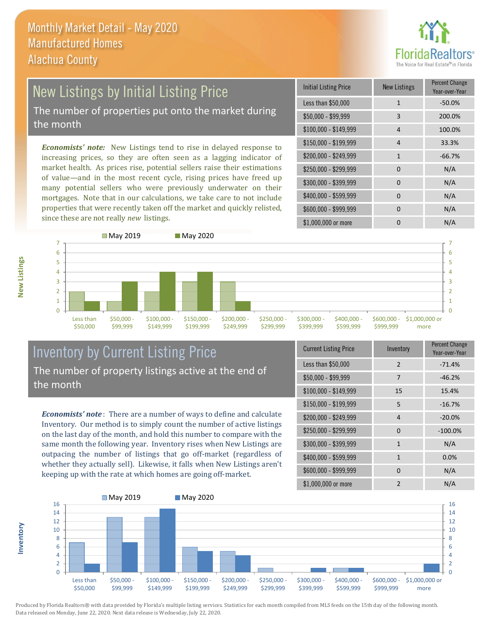

### New Listings by Initial Listing Price The number of properties put onto the market during the month

*Economists' note:* New Listings tend to rise in delayed response to increasing prices, so they are often seen as a lagging indicator of market health. As prices rise, potential sellers raise their estimations of value—and in the most recent cycle, rising prices have freed up many potential sellers who were previously underwater on their mortgages. Note that in our calculations, we take care to not include properties that were recently taken off the market and quickly relisted, since these are not really *new* listings.

| <b>Initial Listing Price</b> | <b>New Listings</b> | <b>Percent Change</b><br>Year-over-Year |
|------------------------------|---------------------|-----------------------------------------|
| Less than \$50,000           | $\mathbf{1}$        | $-50.0%$                                |
| $$50,000 - $99,999$          | 3                   | 200.0%                                  |
| $$100,000 - $149,999$        | 4                   | 100.0%                                  |
| \$150,000 - \$199,999        | 4                   | 33.3%                                   |
| \$200,000 - \$249,999        | 1                   | $-66.7%$                                |
| \$250,000 - \$299,999        | 0                   | N/A                                     |
| \$300,000 - \$399,999        | $\Omega$            | N/A                                     |
| \$400,000 - \$599,999        | $\Omega$            | N/A                                     |
| \$600,000 - \$999,999        | $\Omega$            | N/A                                     |
| \$1,000,000 or more          | n                   | N/A                                     |



### Inventory by Current Listing Price The number of property listings active at the end of the month

*Economists' note* : There are a number of ways to define and calculate Inventory. Our method is to simply count the number of active listings on the last day of the month, and hold this number to compare with the same month the following year. Inventory rises when New Listings are outpacing the number of listings that go off-market (regardless of whether they actually sell). Likewise, it falls when New Listings aren't keeping up with the rate at which homes are going off-market.

| <b>Current Listing Price</b> | Inventory      | Percent Change<br>Year-over-Year |
|------------------------------|----------------|----------------------------------|
| Less than \$50,000           | $\mathfrak{D}$ | $-71.4%$                         |
| $$50,000 - $99,999$          | 7              | $-46.2%$                         |
| $$100,000 - $149,999$        | 15             | 15.4%                            |
| $$150,000 - $199,999$        | 5              | $-16.7%$                         |
| \$200,000 - \$249,999        | $\overline{4}$ | $-20.0%$                         |
| \$250,000 - \$299,999        | $\Omega$       | $-100.0%$                        |
| \$300,000 - \$399,999        | $\mathbf{1}$   | N/A                              |
| \$400,000 - \$599,999        | $\mathbf{1}$   | 0.0%                             |
| \$600,000 - \$999,999        | $\Omega$       | N/A                              |
| \$1,000,000 or more          | $\mathfrak{p}$ | N/A                              |